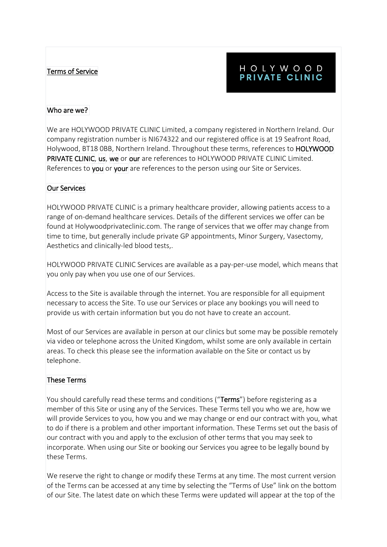## Terms of Service

# HOLYWOOD PRIVATE CLINIC

#### Who are we?

We are HOLYWOOD PRIVATE CLINIC Limited, a company registered in Northern Ireland. Our company registration number is NI674322 and our registered office is at 19 Seafront Road, Holywood, BT18 0BB, Northern Ireland. Throughout these terms, references to HOLYWOOD PRIVATE CLINIC, us, we or our are references to HOLYWOOD PRIVATE CLINIC Limited. References to you or your are references to the person using our Site or Services.

#### Our Services

HOLYWOOD PRIVATE CLINIC is a primary healthcare provider, allowing patients access to a range of on-demand healthcare services. Details of the different services we offer can be found at Holywoodprivateclinic.com. The range of services that we offer may change from time to time, but generally include private GP appointments, Minor Surgery, Vasectomy, Aesthetics and clinically-led blood tests,.

HOLYWOOD PRIVATE CLINIC Services are available as a pay-per-use model, which means that you only pay when you use one of our Services.

Access to the Site is available through the internet. You are responsible for all equipment necessary to access the Site. To use our Services or place any bookings you will need to provide us with certain information but you do not have to create an account.

Most of our Services are available in person at our clinics but some may be possible remotely via video or telephone across the United Kingdom, whilst some are only available in certain areas. To check this please see the information available on the Site or contact us by telephone.

#### These Terms

You should carefully read these terms and conditions ("Terms") before registering as a member of this Site or using any of the Services. These Terms tell you who we are, how we will provide Services to you, how you and we may change or end our contract with you, what to do if there is a problem and other important information. These Terms set out the basis of our contract with you and apply to the exclusion of other terms that you may seek to incorporate. When using our Site or booking our Services you agree to be legally bound by these Terms.

We reserve the right to change or modify these Terms at any time. The most current version of the Terms can be accessed at any time by selecting the "Terms of Use" link on the bottom of our Site. The latest date on which these Terms were updated will appear at the top of the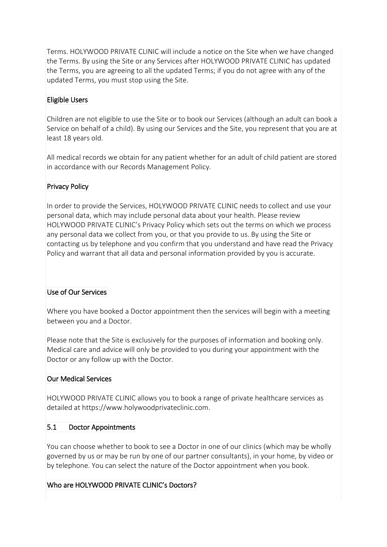Terms. HOLYWOOD PRIVATE CLINIC will include a notice on the Site when we have changed the Terms. By using the Site or any Services after HOLYWOOD PRIVATE CLINIC has updated the Terms, you are agreeing to all the updated Terms; if you do not agree with any of the updated Terms, you must stop using the Site.

# Eligible Users

Children are not eligible to use the Site or to book our Services (although an adult can book a Service on behalf of a child). By using our Services and the Site, you represent that you are at least 18 years old.

All medical records we obtain for any patient whether for an adult of child patient are stored in accordance with our Records Management Policy.

## Privacy Policy

In order to provide the Services, HOLYWOOD PRIVATE CLINIC needs to collect and use your personal data, which may include personal data about your health. Please review HOLYWOOD PRIVATE CLINIC's Privacy Policy which sets out the terms on which we process any personal data we collect from you, or that you provide to us. By using the Site or contacting us by telephone and you confirm that you understand and have read the Privacy Policy and warrant that all data and personal information provided by you is accurate.

#### Use of Our Services

Where you have booked a Doctor appointment then the services will begin with a meeting between you and a Doctor.

Please note that the Site is exclusively for the purposes of information and booking only. Medical care and advice will only be provided to you during your appointment with the Doctor or any follow up with the Doctor.

#### Our Medical Services

HOLYWOOD PRIVATE CLINIC allows you to book a range of private healthcare services as detailed at https://www.holywoodprivateclinic.com.

#### 5.1 Doctor Appointments

You can choose whether to book to see a Doctor in one of our clinics (which may be wholly governed by us or may be run by one of our partner consultants), in your home, by video or by telephone. You can select the nature of the Doctor appointment when you book.

# Who are HOLYWOOD PRIVATE CLINIC's Doctors?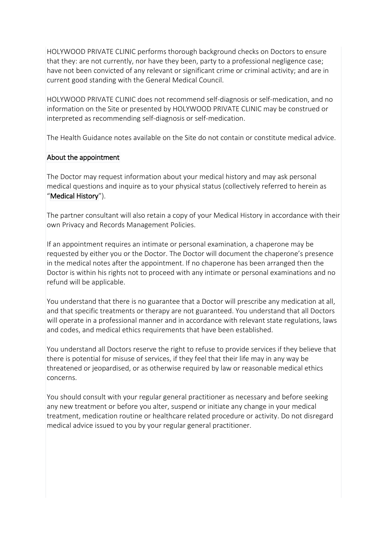HOLYWOOD PRIVATE CLINIC performs thorough background checks on Doctors to ensure that they: are not currently, nor have they been, party to a professional negligence case; have not been convicted of any relevant or significant crime or criminal activity; and are in current good standing with the General Medical Council.

HOLYWOOD PRIVATE CLINIC does not recommend self-diagnosis or self-medication, and no information on the Site or presented by HOLYWOOD PRIVATE CLINIC may be construed or interpreted as recommending self-diagnosis or self-medication.

The Health Guidance notes available on the Site do not contain or constitute medical advice.

## About the appointment

The Doctor may request information about your medical history and may ask personal medical questions and inquire as to your physical status (collectively referred to herein as "Medical History").

The partner consultant will also retain a copy of your Medical History in accordance with their own Privacy and Records Management Policies.

If an appointment requires an intimate or personal examination, a chaperone may be requested by either you or the Doctor. The Doctor will document the chaperone's presence in the medical notes after the appointment. If no chaperone has been arranged then the Doctor is within his rights not to proceed with any intimate or personal examinations and no refund will be applicable.

You understand that there is no guarantee that a Doctor will prescribe any medication at all, and that specific treatments or therapy are not guaranteed. You understand that all Doctors will operate in a professional manner and in accordance with relevant state regulations, laws and codes, and medical ethics requirements that have been established.

You understand all Doctors reserve the right to refuse to provide services if they believe that there is potential for misuse of services, if they feel that their life may in any way be threatened or jeopardised, or as otherwise required by law or reasonable medical ethics concerns.

You should consult with your regular general practitioner as necessary and before seeking any new treatment or before you alter, suspend or initiate any change in your medical treatment, medication routine or healthcare related procedure or activity. Do not disregard medical advice issued to you by your regular general practitioner.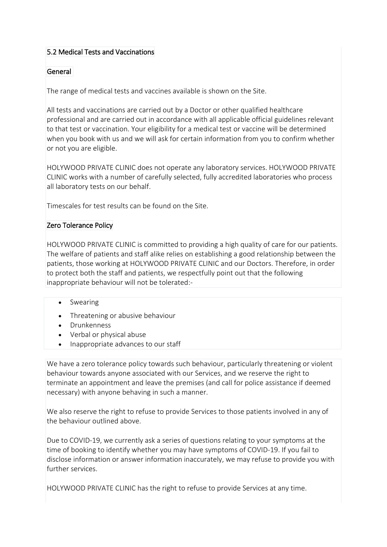# 5.2 Medical Tests and Vaccinations

## General

The range of medical tests and vaccines available is shown on the Site.

All tests and vaccinations are carried out by a Doctor or other qualified healthcare professional and are carried out in accordance with all applicable official guidelines relevant to that test or vaccination. Your eligibility for a medical test or vaccine will be determined when you book with us and we will ask for certain information from you to confirm whether or not you are eligible.

HOLYWOOD PRIVATE CLINIC does not operate any laboratory services. HOLYWOOD PRIVATE CLINIC works with a number of carefully selected, fully accredited laboratories who process all laboratory tests on our behalf.

Timescales for test results can be found on the Site.

#### Zero Tolerance Policy

HOLYWOOD PRIVATE CLINIC is committed to providing a high quality of care for our patients. The welfare of patients and staff alike relies on establishing a good relationship between the patients, those working at HOLYWOOD PRIVATE CLINIC and our Doctors. Therefore, in order to protect both the staff and patients, we respectfully point out that the following inappropriate behaviour will not be tolerated:-

- Swearing
- Threatening or abusive behaviour
- Drunkenness
- Verbal or physical abuse
- Inappropriate advances to our staff

We have a zero tolerance policy towards such behaviour, particularly threatening or violent behaviour towards anyone associated with our Services, and we reserve the right to terminate an appointment and leave the premises (and call for police assistance if deemed necessary) with anyone behaving in such a manner.

We also reserve the right to refuse to provide Services to those patients involved in any of the behaviour outlined above.

Due to COVID-19, we currently ask a series of questions relating to your symptoms at the time of booking to identify whether you may have symptoms of COVID-19. If you fail to disclose information or answer information inaccurately, we may refuse to provide you with further services.

HOLYWOOD PRIVATE CLINIC has the right to refuse to provide Services at any time.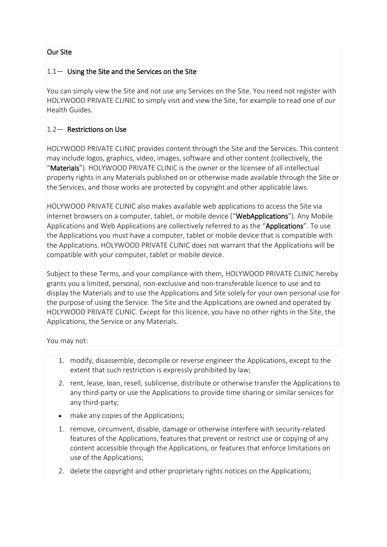# Our Site

## 1.1— Using the Site and the Services on the Site

You can simply view the Site and not use any Services on the Site. You need not register with HOLYWOOD PRIVATE CLINIC to simply visit and view the Site, for example to read one of our Health Guides.

#### 1.2— Restrictions on Use

HOLYWOOD PRIVATE CLINIC provides content through the Site and the Services. This content may include logos, graphics, video, images, software and other content (collectively, the "Materials"). HOLYWOOD PRIVATE CLINIC is the owner or the licensee of all intellectual property rights in any Materials published on or otherwise made available through the Site or the Services, and those works are protected by copyright and other applicable laws.

HOLYWOOD PRIVATE CLINIC also makes available web applications to access the Site via internet browsers on a computer, tablet, or mobile device ("WebApplications"). Any Mobile Applications and Web Applications are collectively referred to as the "Applications". To use the Applications you must have a computer, tablet or mobile device that is compatible with the Applications. HOLYWOOD PRIVATE CLINIC does not warrant that the Applications will be compatible with your computer, tablet or mobile device.

Subject to these Terms, and your compliance with them, HOLYWOOD PRIVATE CLINIC hereby grants you a limited, personal, non-exclusive and non-transferable licence to use and to display the Materials and to use the Applications and Site solely for your own personal use for the purpose of using the Service. The Site and the Applications are owned and operated by HOLYWOOD PRIVATE CLINIC. Except for this licence, you have no other rights in the Site, the Applications, the Service or any Materials.

You may not:

- 1. modify, disassemble, decompile or reverse engineer the Applications, except to the extent that such restriction is expressly prohibited by law;
- 2. rent, lease, loan, resell, sublicense, distribute or otherwise transfer the Applications to any third-party or use the Applications to provide time sharing or similar services for any third-party;
- make any copies of the Applications;
- 1. remove, circumvent, disable, damage or otherwise interfere with security-related features of the Applications, features that prevent or restrict use or copying of any content accessible through the Applications, or features that enforce limitations on use of the Applications;
- 2. delete the copyright and other proprietary rights notices on the Applications;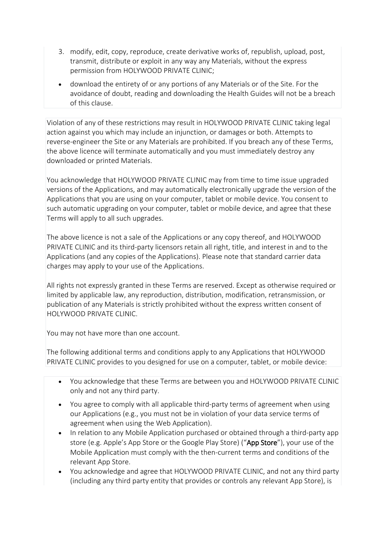- 3. modify, edit, copy, reproduce, create derivative works of, republish, upload, post, transmit, distribute or exploit in any way any Materials, without the express permission from HOLYWOOD PRIVATE CLINIC;
- download the entirety of or any portions of any Materials or of the Site. For the avoidance of doubt, reading and downloading the Health Guides will not be a breach of this clause.

Violation of any of these restrictions may result in HOLYWOOD PRIVATE CLINIC taking legal action against you which may include an injunction, or damages or both. Attempts to reverse-engineer the Site or any Materials are prohibited. If you breach any of these Terms, the above licence will terminate automatically and you must immediately destroy any downloaded or printed Materials.

You acknowledge that HOLYWOOD PRIVATE CLINIC may from time to time issue upgraded versions of the Applications, and may automatically electronically upgrade the version of the Applications that you are using on your computer, tablet or mobile device. You consent to such automatic upgrading on your computer, tablet or mobile device, and agree that these Terms will apply to all such upgrades.

The above licence is not a sale of the Applications or any copy thereof, and HOLYWOOD PRIVATE CLINIC and its third-party licensors retain all right, title, and interest in and to the Applications (and any copies of the Applications). Please note that standard carrier data charges may apply to your use of the Applications.

All rights not expressly granted in these Terms are reserved. Except as otherwise required or limited by applicable law, any reproduction, distribution, modification, retransmission, or publication of any Materials is strictly prohibited without the express written consent of HOLYWOOD PRIVATE CLINIC.

You may not have more than one account.

The following additional terms and conditions apply to any Applications that HOLYWOOD PRIVATE CLINIC provides to you designed for use on a computer, tablet, or mobile device:

- You acknowledge that these Terms are between you and HOLYWOOD PRIVATE CLINIC only and not any third party.
- You agree to comply with all applicable third-party terms of agreement when using our Applications (e.g., you must not be in violation of your data service terms of agreement when using the Web Application).
- In relation to any Mobile Application purchased or obtained through a third-party app store (e.g. Apple's App Store or the Google Play Store) ("App Store"), your use of the Mobile Application must comply with the then-current terms and conditions of the relevant App Store.
- You acknowledge and agree that HOLYWOOD PRIVATE CLINIC, and not any third party (including any third party entity that provides or controls any relevant App Store), is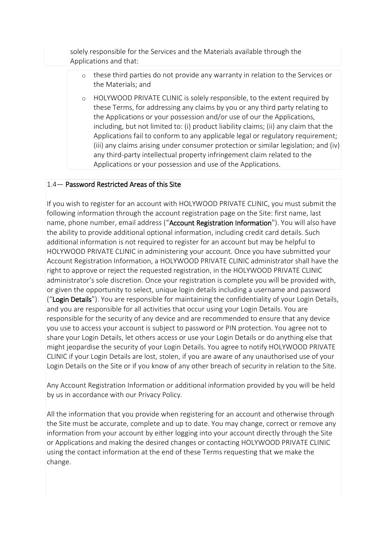solely responsible for the Services and the Materials available through the Applications and that:

- o these third parties do not provide any warranty in relation to the Services or the Materials; and
- o HOLYWOOD PRIVATE CLINIC is solely responsible, to the extent required by these Terms, for addressing any claims by you or any third party relating to the Applications or your possession and/or use of our the Applications, including, but not limited to: (i) product liability claims; (ii) any claim that the Applications fail to conform to any applicable legal or regulatory requirement; (iii) any claims arising under consumer protection or similar legislation; and (iv) any third-party intellectual property infringement claim related to the Applications or your possession and use of the Applications.

## 1.4— Password Restricted Areas of this Site

If you wish to register for an account with HOLYWOOD PRIVATE CLINIC, you must submit the following information through the account registration page on the Site: first name, last name, phone number, email address ("Account Registration Information"). You will also have the ability to provide additional optional information, including credit card details. Such additional information is not required to register for an account but may be helpful to HOLYWOOD PRIVATE CLINIC in administering your account. Once you have submitted your Account Registration Information, a HOLYWOOD PRIVATE CLINIC administrator shall have the right to approve or reject the requested registration, in the HOLYWOOD PRIVATE CLINIC administrator's sole discretion. Once your registration is complete you will be provided with, or given the opportunity to select, unique login details including a username and password ("Login Details"). You are responsible for maintaining the confidentiality of your Login Details, and you are responsible for all activities that occur using your Login Details. You are responsible for the security of any device and are recommended to ensure that any device you use to access your account is subject to password or PIN protection. You agree not to share your Login Details, let others access or use your Login Details or do anything else that might jeopardise the security of your Login Details. You agree to notify HOLYWOOD PRIVATE CLINIC if your Login Details are lost, stolen, if you are aware of any unauthorised use of your Login Details on the Site or if you know of any other breach of security in relation to the Site.

Any Account Registration Information or additional information provided by you will be held by us in accordance with our Privacy Policy.

All the information that you provide when registering for an account and otherwise through the Site must be accurate, complete and up to date. You may change, correct or remove any information from your account by either logging into your account directly through the Site or Applications and making the desired changes or contacting HOLYWOOD PRIVATE CLINIC using the contact information at the end of these Terms requesting that we make the change.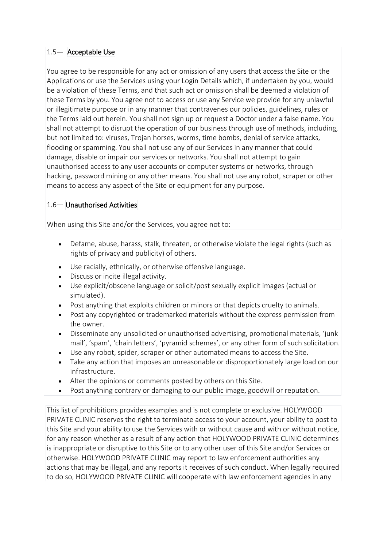## 1.5— Acceptable Use

You agree to be responsible for any act or omission of any users that access the Site or the Applications or use the Services using your Login Details which, if undertaken by you, would be a violation of these Terms, and that such act or omission shall be deemed a violation of these Terms by you. You agree not to access or use any Service we provide for any unlawful or illegitimate purpose or in any manner that contravenes our policies, guidelines, rules or the Terms laid out herein. You shall not sign up or request a Doctor under a false name. You shall not attempt to disrupt the operation of our business through use of methods, including, but not limited to: viruses, Trojan horses, worms, time bombs, denial of service attacks, flooding or spamming. You shall not use any of our Services in any manner that could damage, disable or impair our services or networks. You shall not attempt to gain unauthorised access to any user accounts or computer systems or networks, through hacking, password mining or any other means. You shall not use any robot, scraper or other means to access any aspect of the Site or equipment for any purpose.

## 1.6— Unauthorised Activities

When using this Site and/or the Services, you agree not to:

- Defame, abuse, harass, stalk, threaten, or otherwise violate the legal rights (such as rights of privacy and publicity) of others.
- Use racially, ethnically, or otherwise offensive language.
- Discuss or incite illegal activity.
- Use explicit/obscene language or solicit/post sexually explicit images (actual or simulated).
- Post anything that exploits children or minors or that depicts cruelty to animals.
- Post any copyrighted or trademarked materials without the express permission from the owner.
- Disseminate any unsolicited or unauthorised advertising, promotional materials, 'junk mail', 'spam', 'chain letters', 'pyramid schemes', or any other form of such solicitation.
- Use any robot, spider, scraper or other automated means to access the Site.
- Take any action that imposes an unreasonable or disproportionately large load on our infrastructure.
- Alter the opinions or comments posted by others on this Site.
- Post anything contrary or damaging to our public image, goodwill or reputation.

This list of prohibitions provides examples and is not complete or exclusive. HOLYWOOD PRIVATE CLINIC reserves the right to terminate access to your account, your ability to post to this Site and your ability to use the Services with or without cause and with or without notice, for any reason whether as a result of any action that HOLYWOOD PRIVATE CLINIC determines is inappropriate or disruptive to this Site or to any other user of this Site and/or Services or otherwise. HOLYWOOD PRIVATE CLINIC may report to law enforcement authorities any actions that may be illegal, and any reports it receives of such conduct. When legally required to do so, HOLYWOOD PRIVATE CLINIC will cooperate with law enforcement agencies in any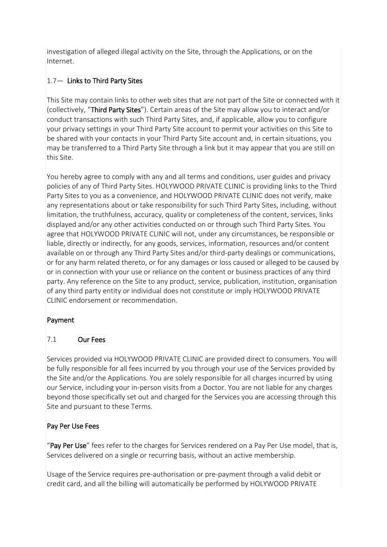investigation of alleged illegal activity on the Site, through the Applications, or on the Internet.

# 1.7— Links to Third Party Sites

This Site may contain links to other web sites that are not part of the Site or connected with it (collectively, "Third Party Sites"). Certain areas of the Site may allow you to interact and/or conduct transactions with such Third Party Sites, and, if applicable, allow you to configure your privacy settings in your Third Party Site account to permit your activities on this Site to be shared with your contacts in your Third Party Site account and, in certain situations, you may be transferred to a Third Party Site through a link but it may appear that you are still on this Site.

You hereby agree to comply with any and all terms and conditions, user guides and privacy policies of any of Third Party Sites. HOLYWOOD PRIVATE CLINIC is providing links to the Third Party Sites to you as a convenience, and HOLYWOOD PRIVATE CLINIC does not verify, make any representations about or take responsibility for such Third Party Sites, including, without limitation, the truthfulness, accuracy, quality or completeness of the content, services, links displayed and/or any other activities conducted on or through such Third Party Sites. You agree that HOLYWOOD PRIVATE CLINIC will not, under any circumstances, be responsible or liable, directly or indirectly, for any goods, services, information, resources and/or content available on or through any Third Party Sites and/or third-party dealings or communications, or for any harm related thereto, or for any damages or loss caused or alleged to be caused by or in connection with your use or reliance on the content or business practices of any third party. Any reference on the Site to any product, service, publication, institution, organisation of any third party entity or individual does not constitute or imply HOLYWOOD PRIVATE CLINIC endorsement or recommendation.

# Payment

# 7.1 Our Fees

Services provided via HOLYWOOD PRIVATE CLINIC are provided direct to consumers. You will be fully responsible for all fees incurred by you through your use of the Services provided by the Site and/or the Applications. You are solely responsible for all charges incurred by using our Service, including your in-person visits from a Doctor. You are not liable for any charges beyond those specifically set out and charged for the Services you are accessing through this Site and pursuant to these Terms.

# Pay Per Use Fees

"Pay Per Use" fees refer to the charges for Services rendered on a Pay Per Use model, that is, Services delivered on a single or recurring basis, without an active membership.

Usage of the Service requires pre-authorisation or pre-payment through a valid debit or credit card, and all the billing will automatically be performed by HOLYWOOD PRIVATE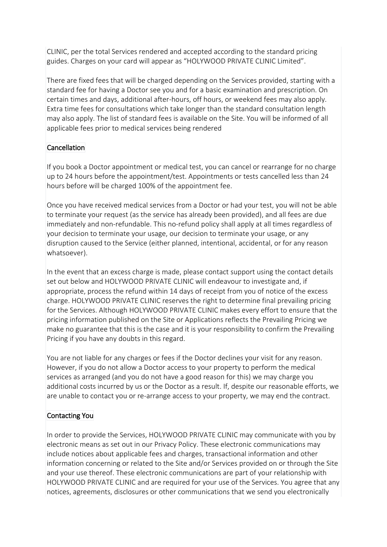CLINIC, per the total Services rendered and accepted according to the standard pricing guides. Charges on your card will appear as "HOLYWOOD PRIVATE CLINIC Limited".

There are fixed fees that will be charged depending on the Services provided, starting with a standard fee for having a Doctor see you and for a basic examination and prescription. On certain times and days, additional after-hours, off hours, or weekend fees may also apply. Extra time fees for consultations which take longer than the standard consultation length may also apply. The list of standard fees is available on the Site. You will be informed of all applicable fees prior to medical services being rendered

## Cancellation

If you book a Doctor appointment or medical test, you can cancel or rearrange for no charge up to 24 hours before the appointment/test. Appointments or tests cancelled less than 24 hours before will be charged 100% of the appointment fee.

Once you have received medical services from a Doctor or had your test, you will not be able to terminate your request (as the service has already been provided), and all fees are due immediately and non-refundable. This no-refund policy shall apply at all times regardless of your decision to terminate your usage, our decision to terminate your usage, or any disruption caused to the Service (either planned, intentional, accidental, or for any reason whatsoever).

In the event that an excess charge is made, please contact support using the contact details set out below and HOLYWOOD PRIVATE CLINIC will endeavour to investigate and, if appropriate, process the refund within 14 days of receipt from you of notice of the excess charge. HOLYWOOD PRIVATE CLINIC reserves the right to determine final prevailing pricing for the Services. Although HOLYWOOD PRIVATE CLINIC makes every effort to ensure that the pricing information published on the Site or Applications reflects the Prevailing Pricing we make no guarantee that this is the case and it is your responsibility to confirm the Prevailing Pricing if you have any doubts in this regard.

You are not liable for any charges or fees if the Doctor declines your visit for any reason. However, if you do not allow a Doctor access to your property to perform the medical services as arranged (and you do not have a good reason for this) we may charge you additional costs incurred by us or the Doctor as a result. If, despite our reasonable efforts, we are unable to contact you or re-arrange access to your property, we may end the contract.

# Contacting You

In order to provide the Services, HOLYWOOD PRIVATE CLINIC may communicate with you by electronic means as set out in our Privacy Policy. These electronic communications may include notices about applicable fees and charges, transactional information and other information concerning or related to the Site and/or Services provided on or through the Site and your use thereof. These electronic communications are part of your relationship with HOLYWOOD PRIVATE CLINIC and are required for your use of the Services. You agree that any notices, agreements, disclosures or other communications that we send you electronically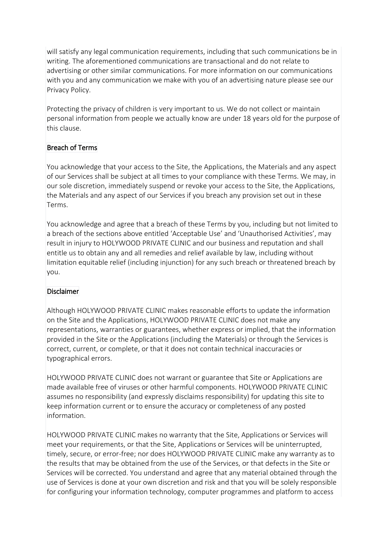will satisfy any legal communication requirements, including that such communications be in writing. The aforementioned communications are transactional and do not relate to advertising or other similar communications. For more information on our communications with you and any communication we make with you of an advertising nature please see our Privacy Policy.

Protecting the privacy of children is very important to us. We do not collect or maintain personal information from people we actually know are under 18 years old for the purpose of this clause.

## Breach of Terms

You acknowledge that your access to the Site, the Applications, the Materials and any aspect of our Services shall be subject at all times to your compliance with these Terms. We may, in our sole discretion, immediately suspend or revoke your access to the Site, the Applications, the Materials and any aspect of our Services if you breach any provision set out in these Terms.

You acknowledge and agree that a breach of these Terms by you, including but not limited to a breach of the sections above entitled 'Acceptable Use' and 'Unauthorised Activities', may result in injury to HOLYWOOD PRIVATE CLINIC and our business and reputation and shall entitle us to obtain any and all remedies and relief available by law, including without limitation equitable relief (including injunction) for any such breach or threatened breach by you.

# **Disclaimer**

Although HOLYWOOD PRIVATE CLINIC makes reasonable efforts to update the information on the Site and the Applications, HOLYWOOD PRIVATE CLINIC does not make any representations, warranties or guarantees, whether express or implied, that the information provided in the Site or the Applications (including the Materials) or through the Services is correct, current, or complete, or that it does not contain technical inaccuracies or typographical errors.

HOLYWOOD PRIVATE CLINIC does not warrant or guarantee that Site or Applications are made available free of viruses or other harmful components. HOLYWOOD PRIVATE CLINIC assumes no responsibility (and expressly disclaims responsibility) for updating this site to keep information current or to ensure the accuracy or completeness of any posted information.

HOLYWOOD PRIVATE CLINIC makes no warranty that the Site, Applications or Services will meet your requirements, or that the Site, Applications or Services will be uninterrupted, timely, secure, or error-free; nor does HOLYWOOD PRIVATE CLINIC make any warranty as to the results that may be obtained from the use of the Services, or that defects in the Site or Services will be corrected. You understand and agree that any material obtained through the use of Services is done at your own discretion and risk and that you will be solely responsible for configuring your information technology, computer programmes and platform to access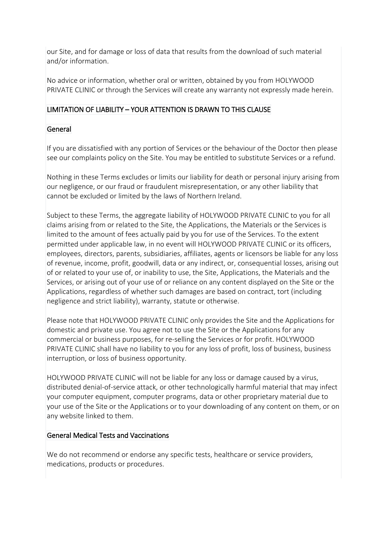our Site, and for damage or loss of data that results from the download of such material and/or information.

No advice or information, whether oral or written, obtained by you from HOLYWOOD PRIVATE CLINIC or through the Services will create any warranty not expressly made herein.

## LIMITATION OF LIABILITY – YOUR ATTENTION IS DRAWN TO THIS CLAUSE

## General

If you are dissatisfied with any portion of Services or the behaviour of the Doctor then please see our complaints policy on the Site. You may be entitled to substitute Services or a refund.

Nothing in these Terms excludes or limits our liability for death or personal injury arising from our negligence, or our fraud or fraudulent misrepresentation, or any other liability that cannot be excluded or limited by the laws of Northern Ireland.

Subject to these Terms, the aggregate liability of HOLYWOOD PRIVATE CLINIC to you for all claims arising from or related to the Site, the Applications, the Materials or the Services is limited to the amount of fees actually paid by you for use of the Services. To the extent permitted under applicable law, in no event will HOLYWOOD PRIVATE CLINIC or its officers, employees, directors, parents, subsidiaries, affiliates, agents or licensors be liable for any loss of revenue, income, profit, goodwill, data or any indirect, or, consequential losses, arising out of or related to your use of, or inability to use, the Site, Applications, the Materials and the Services, or arising out of your use of or reliance on any content displayed on the Site or the Applications, regardless of whether such damages are based on contract, tort (including negligence and strict liability), warranty, statute or otherwise.

Please note that HOLYWOOD PRIVATE CLINIC only provides the Site and the Applications for domestic and private use. You agree not to use the Site or the Applications for any commercial or business purposes, for re-selling the Services or for profit. HOLYWOOD PRIVATE CLINIC shall have no liability to you for any loss of profit, loss of business, business interruption, or loss of business opportunity.

HOLYWOOD PRIVATE CLINIC will not be liable for any loss or damage caused by a virus, distributed denial-of-service attack, or other technologically harmful material that may infect your computer equipment, computer programs, data or other proprietary material due to your use of the Site or the Applications or to your downloading of any content on them, or on any website linked to them.

#### General Medical Tests and Vaccinations

We do not recommend or endorse any specific tests, healthcare or service providers, medications, products or procedures.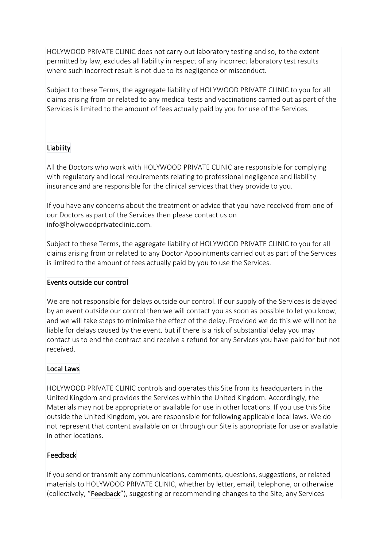HOLYWOOD PRIVATE CLINIC does not carry out laboratory testing and so, to the extent permitted by law, excludes all liability in respect of any incorrect laboratory test results where such incorrect result is not due to its negligence or misconduct.

Subject to these Terms, the aggregate liability of HOLYWOOD PRIVATE CLINIC to you for all claims arising from or related to any medical tests and vaccinations carried out as part of the Services is limited to the amount of fees actually paid by you for use of the Services.

# Liability

All the Doctors who work with HOLYWOOD PRIVATE CLINIC are responsible for complying with regulatory and local requirements relating to professional negligence and liability insurance and are responsible for the clinical services that they provide to you.

If you have any concerns about the treatment or advice that you have received from one of our Doctors as part of the Services then please contact us on info@holywoodprivateclinic.com.

Subject to these Terms, the aggregate liability of HOLYWOOD PRIVATE CLINIC to you for all claims arising from or related to any Doctor Appointments carried out as part of the Services is limited to the amount of fees actually paid by you to use the Services.

#### Events outside our control

We are not responsible for delays outside our control. If our supply of the Services is delayed by an event outside our control then we will contact you as soon as possible to let you know, and we will take steps to minimise the effect of the delay. Provided we do this we will not be liable for delays caused by the event, but if there is a risk of substantial delay you may contact us to end the contract and receive a refund for any Services you have paid for but not received.

#### Local Laws

HOLYWOOD PRIVATE CLINIC controls and operates this Site from its headquarters in the United Kingdom and provides the Services within the United Kingdom. Accordingly, the Materials may not be appropriate or available for use in other locations. If you use this Site outside the United Kingdom, you are responsible for following applicable local laws. We do not represent that content available on or through our Site is appropriate for use or available in other locations.

#### Feedback

If you send or transmit any communications, comments, questions, suggestions, or related materials to HOLYWOOD PRIVATE CLINIC, whether by letter, email, telephone, or otherwise (collectively, "Feedback"), suggesting or recommending changes to the Site, any Services